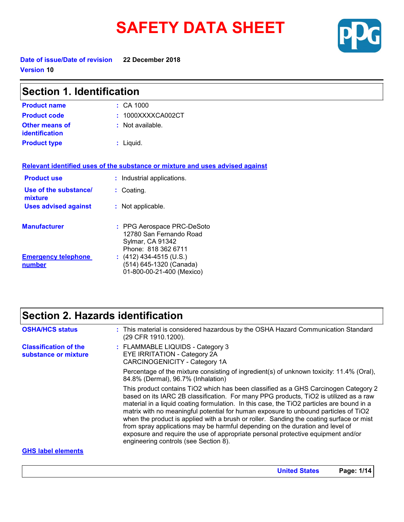# **SAFETY DATA SHEET**



**United States Page: 1/14**

**Date of issue/Date of revision 22 December 2018 Version 10**

| <b>Section 1. Identification</b>               |                                                                                                  |
|------------------------------------------------|--------------------------------------------------------------------------------------------------|
| <b>Product name</b>                            | $:$ CA 1000                                                                                      |
| <b>Product code</b>                            | :1000XXXXCA002CT                                                                                 |
| <b>Other means of</b><br><b>identification</b> | : Not available.                                                                                 |
| <b>Product type</b>                            | : Liquid.                                                                                        |
|                                                | Relevant identified uses of the substance or mixture and uses advised against                    |
| <b>Product use</b>                             | : Industrial applications.                                                                       |
| Use of the substance/<br>mixture               | : Coating.                                                                                       |
| <b>Uses advised against</b>                    | : Not applicable.                                                                                |
| <b>Manufacturer</b>                            | : PPG Aerospace PRC-DeSoto<br>12780 San Fernando Road<br>Sylmar, CA 91342<br>Phone: 818 362 6711 |
| <b>Emergency telephone</b><br>number           | $(412)$ 434-4515 (U.S.)<br>(514) 645-1320 (Canada)<br>01-800-00-21-400 (Mexico)                  |

### **Section 2. Hazards identification**

| <b>OSHA/HCS status</b>                               | : This material is considered hazardous by the OSHA Hazard Communication Standard<br>(29 CFR 1910.1200).                                                                                                                                                                                                                                                                                                                                                                                                                                                                                                                                                                  |
|------------------------------------------------------|---------------------------------------------------------------------------------------------------------------------------------------------------------------------------------------------------------------------------------------------------------------------------------------------------------------------------------------------------------------------------------------------------------------------------------------------------------------------------------------------------------------------------------------------------------------------------------------------------------------------------------------------------------------------------|
| <b>Classification of the</b><br>substance or mixture | : FLAMMABLE LIQUIDS - Category 3<br><b>EYE IRRITATION - Category 2A</b><br>CARCINOGENICITY - Category 1A                                                                                                                                                                                                                                                                                                                                                                                                                                                                                                                                                                  |
|                                                      | Percentage of the mixture consisting of ingredient(s) of unknown toxicity: 11.4% (Oral),<br>84.8% (Dermal), 96.7% (Inhalation)                                                                                                                                                                                                                                                                                                                                                                                                                                                                                                                                            |
|                                                      | This product contains TiO2 which has been classified as a GHS Carcinogen Category 2<br>based on its IARC 2B classification. For many PPG products, TiO2 is utilized as a raw<br>material in a liquid coating formulation. In this case, the TiO2 particles are bound in a<br>matrix with no meaningful potential for human exposure to unbound particles of TiO2<br>when the product is applied with a brush or roller. Sanding the coating surface or mist<br>from spray applications may be harmful depending on the duration and level of<br>exposure and require the use of appropriate personal protective equipment and/or<br>engineering controls (see Section 8). |
| <b>GHS label elements</b>                            |                                                                                                                                                                                                                                                                                                                                                                                                                                                                                                                                                                                                                                                                           |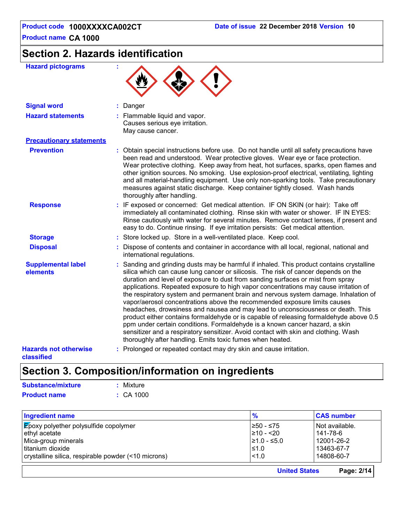## **Section 2. Hazards identification**

| <b>Hazard pictograms</b>                          |                                                                                                                                                                                                                                                                                                                                                                                                                                                                                                                                                                                                                                                                                                                                                                                                                                                                                                                                                |
|---------------------------------------------------|------------------------------------------------------------------------------------------------------------------------------------------------------------------------------------------------------------------------------------------------------------------------------------------------------------------------------------------------------------------------------------------------------------------------------------------------------------------------------------------------------------------------------------------------------------------------------------------------------------------------------------------------------------------------------------------------------------------------------------------------------------------------------------------------------------------------------------------------------------------------------------------------------------------------------------------------|
| <b>Signal word</b>                                | : Danger                                                                                                                                                                                                                                                                                                                                                                                                                                                                                                                                                                                                                                                                                                                                                                                                                                                                                                                                       |
| <b>Hazard statements</b>                          | : Flammable liquid and vapor.<br>Causes serious eye irritation.<br>May cause cancer.                                                                                                                                                                                                                                                                                                                                                                                                                                                                                                                                                                                                                                                                                                                                                                                                                                                           |
| <b>Precautionary statements</b>                   |                                                                                                                                                                                                                                                                                                                                                                                                                                                                                                                                                                                                                                                                                                                                                                                                                                                                                                                                                |
| <b>Prevention</b>                                 | : Obtain special instructions before use. Do not handle until all safety precautions have<br>been read and understood. Wear protective gloves. Wear eye or face protection.<br>Wear protective clothing. Keep away from heat, hot surfaces, sparks, open flames and<br>other ignition sources. No smoking. Use explosion-proof electrical, ventilating, lighting<br>and all material-handling equipment. Use only non-sparking tools. Take precautionary<br>measures against static discharge. Keep container tightly closed. Wash hands<br>thoroughly after handling.                                                                                                                                                                                                                                                                                                                                                                         |
| <b>Response</b>                                   | : IF exposed or concerned: Get medical attention. IF ON SKIN (or hair): Take off<br>immediately all contaminated clothing. Rinse skin with water or shower. IF IN EYES:<br>Rinse cautiously with water for several minutes. Remove contact lenses, if present and<br>easy to do. Continue rinsing. If eye irritation persists: Get medical attention.                                                                                                                                                                                                                                                                                                                                                                                                                                                                                                                                                                                          |
| <b>Storage</b>                                    | : Store locked up. Store in a well-ventilated place. Keep cool.                                                                                                                                                                                                                                                                                                                                                                                                                                                                                                                                                                                                                                                                                                                                                                                                                                                                                |
| <b>Disposal</b>                                   | : Dispose of contents and container in accordance with all local, regional, national and<br>international regulations.                                                                                                                                                                                                                                                                                                                                                                                                                                                                                                                                                                                                                                                                                                                                                                                                                         |
| <b>Supplemental label</b><br>elements             | : Sanding and grinding dusts may be harmful if inhaled. This product contains crystalline<br>silica which can cause lung cancer or silicosis. The risk of cancer depends on the<br>duration and level of exposure to dust from sanding surfaces or mist from spray<br>applications. Repeated exposure to high vapor concentrations may cause irritation of<br>the respiratory system and permanent brain and nervous system damage. Inhalation of<br>vapor/aerosol concentrations above the recommended exposure limits causes<br>headaches, drowsiness and nausea and may lead to unconsciousness or death. This<br>product either contains formaldehyde or is capable of releasing formaldehyde above 0.5<br>ppm under certain conditions. Formaldehyde is a known cancer hazard, a skin<br>sensitizer and a respiratory sensitizer. Avoid contact with skin and clothing. Wash<br>thoroughly after handling. Emits toxic fumes when heated. |
| <b>Hazards not otherwise</b><br><b>classified</b> | : Prolonged or repeated contact may dry skin and cause irritation.                                                                                                                                                                                                                                                                                                                                                                                                                                                                                                                                                                                                                                                                                                                                                                                                                                                                             |

### **Section 3. Composition/information on ingredients**

| <b>Substance/mixture</b> | : Mixture      |
|--------------------------|----------------|
| <b>Product name</b>      | $\div$ CA 1000 |

| Ingredient name                                     | $\frac{9}{6}$        | <b>CAS number</b> |
|-----------------------------------------------------|----------------------|-------------------|
| <b>Epoxy polyether polysulfide copolymer</b>        | 1≥50 - ≤75           | Not available.    |
| ethyl acetate                                       | $≥10 - 20$           | 141-78-6          |
| Mica-group minerals                                 | $\geq 1.0 - 5.0$     | 12001-26-2        |
| l titanium dioxide                                  | ≤1.0                 | 13463-67-7        |
| crystalline silica, respirable powder (<10 microns) | < 1.0                | 14808-60-7        |
|                                                     | <b>United States</b> | Page: 2/14        |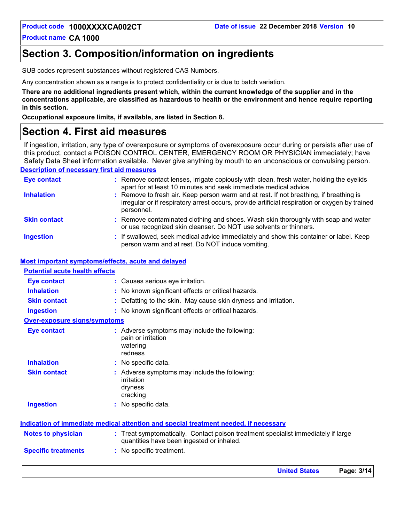**United States Page: 3/14**

**Product name CA 1000**

### **Section 3. Composition/information on ingredients**

SUB codes represent substances without registered CAS Numbers.

Any concentration shown as a range is to protect confidentiality or is due to batch variation.

**There are no additional ingredients present which, within the current knowledge of the supplier and in the concentrations applicable, are classified as hazardous to health or the environment and hence require reporting in this section.**

**Occupational exposure limits, if available, are listed in Section 8.**

### **Section 4. First aid measures**

**Description of necessary first aid measures** If ingestion, irritation, any type of overexposure or symptoms of overexposure occur during or persists after use of this product, contact a POISON CONTROL CENTER, EMERGENCY ROOM OR PHYSICIAN immediately; have Safety Data Sheet information available. Never give anything by mouth to an unconscious or convulsing person.

| <b>Eye contact</b>  | : Remove contact lenses, irrigate copiously with clean, fresh water, holding the eyelids<br>apart for at least 10 minutes and seek immediate medical advice.                                           |
|---------------------|--------------------------------------------------------------------------------------------------------------------------------------------------------------------------------------------------------|
| <b>Inhalation</b>   | : Remove to fresh air. Keep person warm and at rest. If not breathing, if breathing is<br>irregular or if respiratory arrest occurs, provide artificial respiration or oxygen by trained<br>personnel. |
| <b>Skin contact</b> | : Remove contaminated clothing and shoes. Wash skin thoroughly with soap and water<br>or use recognized skin cleanser. Do NOT use solvents or thinners.                                                |
| <b>Ingestion</b>    | : If swallowed, seek medical advice immediately and show this container or label. Keep<br>person warm and at rest. Do NOT induce vomiting.                                                             |

#### **Most important symptoms/effects, acute and delayed**

| <b>Potential acute health effects</b> |                                                                                                                              |
|---------------------------------------|------------------------------------------------------------------------------------------------------------------------------|
| <b>Eye contact</b>                    | : Causes serious eye irritation.                                                                                             |
| <b>Inhalation</b>                     | No known significant effects or critical hazards.                                                                            |
| <b>Skin contact</b>                   | Defatting to the skin. May cause skin dryness and irritation.                                                                |
| <b>Ingestion</b>                      | : No known significant effects or critical hazards.                                                                          |
| <b>Over-exposure signs/symptoms</b>   |                                                                                                                              |
| <b>Eye contact</b>                    | : Adverse symptoms may include the following:<br>pain or irritation<br>watering<br>redness                                   |
| <b>Inhalation</b>                     | : No specific data.                                                                                                          |
| <b>Skin contact</b>                   | : Adverse symptoms may include the following:<br>irritation<br>dryness<br>cracking                                           |
| <b>Ingestion</b>                      | : No specific data.                                                                                                          |
|                                       | <u>Indication of immediate medical attention and special treatment needed, if necessary</u>                                  |
| <b>Notes to physician</b>             | Treat symptomatically. Contact poison treatment specialist immediately if large<br>quantities have been ingested or inhaled. |
| <b>Specific treatments</b>            | : No specific treatment.                                                                                                     |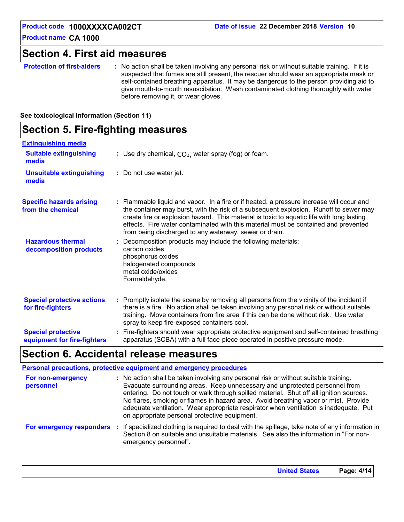### **Section 4. First aid measures**

**Protection of first-aiders** : No action shall be taken involving any personal risk or without suitable training. If it is suspected that fumes are still present, the rescuer should wear an appropriate mask or self-contained breathing apparatus. It may be dangerous to the person providing aid to give mouth-to-mouth resuscitation. Wash contaminated clothing thoroughly with water before removing it, or wear gloves.

#### **See toxicological information (Section 11)**

### **Section 5. Fire-fighting measures**

| <b>Extinguishing media</b>                               |                                                                                                                                                                                                                                                                                                                                                                                                                                 |
|----------------------------------------------------------|---------------------------------------------------------------------------------------------------------------------------------------------------------------------------------------------------------------------------------------------------------------------------------------------------------------------------------------------------------------------------------------------------------------------------------|
| <b>Suitable extinguishing</b><br>media                   | : Use dry chemical, $CO2$ , water spray (fog) or foam.                                                                                                                                                                                                                                                                                                                                                                          |
| <b>Unsuitable extinguishing</b><br>media                 | : Do not use water jet.                                                                                                                                                                                                                                                                                                                                                                                                         |
| <b>Specific hazards arising</b><br>from the chemical     | : Flammable liquid and vapor. In a fire or if heated, a pressure increase will occur and<br>the container may burst, with the risk of a subsequent explosion. Runoff to sewer may<br>create fire or explosion hazard. This material is toxic to aquatic life with long lasting<br>effects. Fire water contaminated with this material must be contained and prevented<br>from being discharged to any waterway, sewer or drain. |
| <b>Hazardous thermal</b><br>decomposition products       | Decomposition products may include the following materials:<br>carbon oxides<br>phosphorus oxides<br>halogenated compounds<br>metal oxide/oxides<br>Formaldehyde.                                                                                                                                                                                                                                                               |
| <b>Special protective actions</b><br>for fire-fighters   | Promptly isolate the scene by removing all persons from the vicinity of the incident if<br>there is a fire. No action shall be taken involving any personal risk or without suitable<br>training. Move containers from fire area if this can be done without risk. Use water<br>spray to keep fire-exposed containers cool.                                                                                                     |
| <b>Special protective</b><br>equipment for fire-fighters | Fire-fighters should wear appropriate protective equipment and self-contained breathing<br>apparatus (SCBA) with a full face-piece operated in positive pressure mode.                                                                                                                                                                                                                                                          |

### **Section 6. Accidental release measures**

|                                | <b>Personal precautions, protective equipment and emergency procedures</b>                                                                                                                                                                                                                                                                                                                                                                                                                      |
|--------------------------------|-------------------------------------------------------------------------------------------------------------------------------------------------------------------------------------------------------------------------------------------------------------------------------------------------------------------------------------------------------------------------------------------------------------------------------------------------------------------------------------------------|
| For non-emergency<br>personnel | : No action shall be taken involving any personal risk or without suitable training.<br>Evacuate surrounding areas. Keep unnecessary and unprotected personnel from<br>entering. Do not touch or walk through spilled material. Shut off all ignition sources.<br>No flares, smoking or flames in hazard area. Avoid breathing vapor or mist. Provide<br>adequate ventilation. Wear appropriate respirator when ventilation is inadequate. Put<br>on appropriate personal protective equipment. |
|                                | For emergency responders : If specialized clothing is required to deal with the spillage, take note of any information in<br>Section 8 on suitable and unsuitable materials. See also the information in "For non-<br>emergency personnel".                                                                                                                                                                                                                                                     |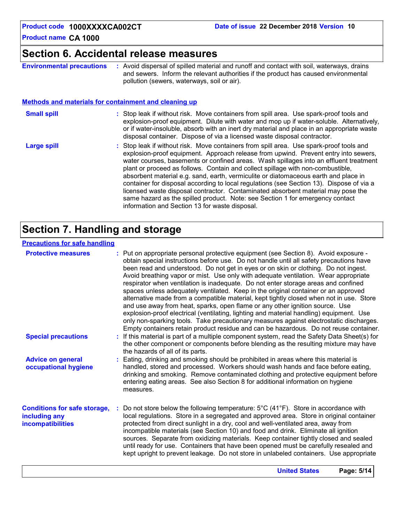### **Section 6. Accidental release measures**

**Environmental precautions**

**:** Avoid dispersal of spilled material and runoff and contact with soil, waterways, drains and sewers. Inform the relevant authorities if the product has caused environmental pollution (sewers, waterways, soil or air).

#### **Methods and materials for containment and cleaning up**

| <b>Small spill</b> | : Stop leak if without risk. Move containers from spill area. Use spark-proof tools and<br>explosion-proof equipment. Dilute with water and mop up if water-soluble. Alternatively,<br>or if water-insoluble, absorb with an inert dry material and place in an appropriate waste<br>disposal container. Dispose of via a licensed waste disposal contractor. |
|--------------------|---------------------------------------------------------------------------------------------------------------------------------------------------------------------------------------------------------------------------------------------------------------------------------------------------------------------------------------------------------------|
| Large spill        | : Stop leak if without risk. Move containers from spill area. Use spark-proof tools and<br>explosion-proof equipment. Approach release from upwind. Prevent entry into sewers,                                                                                                                                                                                |

water courses, basements or confined areas. Wash spillages into an effluent treatment plant or proceed as follows. Contain and collect spillage with non-combustible, absorbent material e.g. sand, earth, vermiculite or diatomaceous earth and place in container for disposal according to local regulations (see Section 13). Dispose of via a licensed waste disposal contractor. Contaminated absorbent material may pose the same hazard as the spilled product. Note: see Section 1 for emergency contact information and Section 13 for waste disposal.

### **Section 7. Handling and storage**

#### **Precautions for safe handling**

| <b>Protective measures</b>                                                       | : Put on appropriate personal protective equipment (see Section 8). Avoid exposure -<br>obtain special instructions before use. Do not handle until all safety precautions have<br>been read and understood. Do not get in eyes or on skin or clothing. Do not ingest.<br>Avoid breathing vapor or mist. Use only with adequate ventilation. Wear appropriate<br>respirator when ventilation is inadequate. Do not enter storage areas and confined<br>spaces unless adequately ventilated. Keep in the original container or an approved<br>alternative made from a compatible material, kept tightly closed when not in use. Store<br>and use away from heat, sparks, open flame or any other ignition source. Use<br>explosion-proof electrical (ventilating, lighting and material handling) equipment. Use<br>only non-sparking tools. Take precautionary measures against electrostatic discharges.<br>Empty containers retain product residue and can be hazardous. Do not reuse container. |
|----------------------------------------------------------------------------------|----------------------------------------------------------------------------------------------------------------------------------------------------------------------------------------------------------------------------------------------------------------------------------------------------------------------------------------------------------------------------------------------------------------------------------------------------------------------------------------------------------------------------------------------------------------------------------------------------------------------------------------------------------------------------------------------------------------------------------------------------------------------------------------------------------------------------------------------------------------------------------------------------------------------------------------------------------------------------------------------------|
| <b>Special precautions</b>                                                       | : If this material is part of a multiple component system, read the Safety Data Sheet(s) for<br>the other component or components before blending as the resulting mixture may have<br>the hazards of all of its parts.                                                                                                                                                                                                                                                                                                                                                                                                                                                                                                                                                                                                                                                                                                                                                                            |
| <b>Advice on general</b><br>occupational hygiene                                 | : Eating, drinking and smoking should be prohibited in areas where this material is<br>handled, stored and processed. Workers should wash hands and face before eating,<br>drinking and smoking. Remove contaminated clothing and protective equipment before<br>entering eating areas. See also Section 8 for additional information on hygiene<br>measures.                                                                                                                                                                                                                                                                                                                                                                                                                                                                                                                                                                                                                                      |
| <b>Conditions for safe storage,</b><br>including any<br><b>incompatibilities</b> | Do not store below the following temperature: $5^{\circ}$ C (41 <sup>o</sup> F). Store in accordance with<br>local regulations. Store in a segregated and approved area. Store in original container<br>protected from direct sunlight in a dry, cool and well-ventilated area, away from<br>incompatible materials (see Section 10) and food and drink. Eliminate all ignition<br>sources. Separate from oxidizing materials. Keep container tightly closed and sealed<br>until ready for use. Containers that have been opened must be carefully resealed and<br>kept upright to prevent leakage. Do not store in unlabeled containers. Use appropriate                                                                                                                                                                                                                                                                                                                                          |
|                                                                                  | <b>United States</b><br>Page: 5/14                                                                                                                                                                                                                                                                                                                                                                                                                                                                                                                                                                                                                                                                                                                                                                                                                                                                                                                                                                 |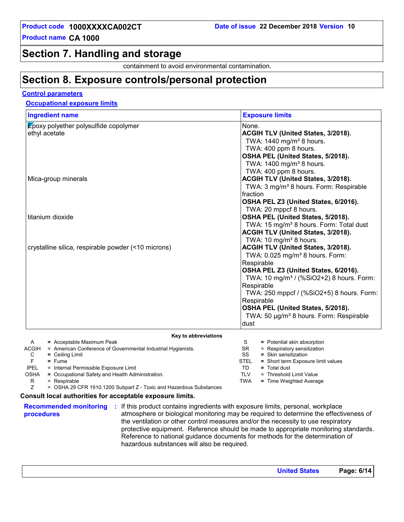### **Section 7. Handling and storage**

containment to avoid environmental contamination.

### **Section 8. Exposure controls/personal protection**

#### **Control parameters**

#### **Occupational exposure limits**

| <b>Exposure limits</b>                                                                                                                                                                                                                                                                                                                                                                                             |
|--------------------------------------------------------------------------------------------------------------------------------------------------------------------------------------------------------------------------------------------------------------------------------------------------------------------------------------------------------------------------------------------------------------------|
| None.<br>ACGIH TLV (United States, 3/2018).<br>TWA: 1440 mg/m <sup>3</sup> 8 hours.<br>TWA: 400 ppm 8 hours.<br>OSHA PEL (United States, 5/2018).<br>TWA: 1400 mg/m <sup>3</sup> 8 hours.                                                                                                                                                                                                                          |
| TWA: 400 ppm 8 hours.<br>ACGIH TLV (United States, 3/2018).<br>TWA: 3 mg/m <sup>3</sup> 8 hours. Form: Respirable<br>fraction<br>OSHA PEL Z3 (United States, 6/2016).                                                                                                                                                                                                                                              |
| TWA: 20 mppcf 8 hours.<br>OSHA PEL (United States, 5/2018).<br>TWA: 15 mg/m <sup>3</sup> 8 hours. Form: Total dust<br>ACGIH TLV (United States, 3/2018).                                                                                                                                                                                                                                                           |
| TWA: 10 mg/m <sup>3</sup> 8 hours.<br>ACGIH TLV (United States, 3/2018).<br>TWA: 0.025 mg/m <sup>3</sup> 8 hours. Form:<br>Respirable<br>OSHA PEL Z3 (United States, 6/2016).<br>TWA: 10 mg/m <sup>3</sup> / (%SiO2+2) 8 hours. Form:<br>Respirable<br>TWA: 250 mppcf / (%SiO2+5) 8 hours. Form:<br>Respirable<br>OSHA PEL (United States, 5/2018).<br>TWA: 50 µg/m <sup>3</sup> 8 hours. Form: Respirable<br>dust |
|                                                                                                                                                                                                                                                                                                                                                                                                                    |
| S<br>= Potential skin absorption<br><b>SR</b><br>= Respiratory sensitization<br>SS<br>= Skin sensitization<br><b>STEL</b><br>= Short term Exposure limit values<br>TD.<br>$=$ Total dust<br><b>TLV</b><br>= Threshold Limit Value<br><b>TWA</b><br>= Time Weighted Average                                                                                                                                         |
|                                                                                                                                                                                                                                                                                                                                                                                                                    |

**procedures**

**Recommended monitoring :** If this product contains ingredients with exposure limits, personal, workplace atmosphere or biological monitoring may be required to determine the effectiveness of the ventilation or other control measures and/or the necessity to use respiratory protective equipment. Reference should be made to appropriate monitoring standards. Reference to national guidance documents for methods for the determination of hazardous substances will also be required.

**United States Page: 6/14**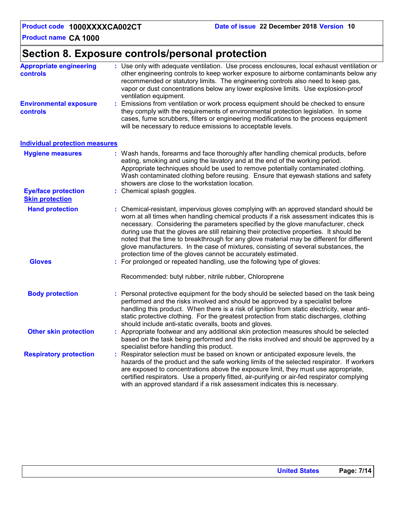### **Section 8. Exposure controls/personal protection**

| <b>Appropriate engineering</b><br><b>controls</b>    |    | : Use only with adequate ventilation. Use process enclosures, local exhaust ventilation or<br>other engineering controls to keep worker exposure to airborne contaminants below any<br>recommended or statutory limits. The engineering controls also need to keep gas,<br>vapor or dust concentrations below any lower explosive limits. Use explosion-proof<br>ventilation equipment.                                                                                                                                                                                                                                |
|------------------------------------------------------|----|------------------------------------------------------------------------------------------------------------------------------------------------------------------------------------------------------------------------------------------------------------------------------------------------------------------------------------------------------------------------------------------------------------------------------------------------------------------------------------------------------------------------------------------------------------------------------------------------------------------------|
| <b>Environmental exposure</b><br><b>controls</b>     | ÷. | Emissions from ventilation or work process equipment should be checked to ensure<br>they comply with the requirements of environmental protection legislation. In some<br>cases, fume scrubbers, filters or engineering modifications to the process equipment<br>will be necessary to reduce emissions to acceptable levels.                                                                                                                                                                                                                                                                                          |
| <b>Individual protection measures</b>                |    |                                                                                                                                                                                                                                                                                                                                                                                                                                                                                                                                                                                                                        |
| <b>Hygiene measures</b>                              |    | : Wash hands, forearms and face thoroughly after handling chemical products, before<br>eating, smoking and using the lavatory and at the end of the working period.<br>Appropriate techniques should be used to remove potentially contaminated clothing.<br>Wash contaminated clothing before reusing. Ensure that eyewash stations and safety<br>showers are close to the workstation location.                                                                                                                                                                                                                      |
| <b>Eye/face protection</b><br><b>Skin protection</b> |    | : Chemical splash goggles.                                                                                                                                                                                                                                                                                                                                                                                                                                                                                                                                                                                             |
| <b>Hand protection</b>                               |    | : Chemical-resistant, impervious gloves complying with an approved standard should be<br>worn at all times when handling chemical products if a risk assessment indicates this is<br>necessary. Considering the parameters specified by the glove manufacturer, check<br>during use that the gloves are still retaining their protective properties. It should be<br>noted that the time to breakthrough for any glove material may be different for different<br>glove manufacturers. In the case of mixtures, consisting of several substances, the<br>protection time of the gloves cannot be accurately estimated. |
| <b>Gloves</b>                                        |    | : For prolonged or repeated handling, use the following type of gloves:<br>Recommended: butyl rubber, nitrile rubber, Chloroprene                                                                                                                                                                                                                                                                                                                                                                                                                                                                                      |
| <b>Body protection</b>                               |    | Personal protective equipment for the body should be selected based on the task being<br>performed and the risks involved and should be approved by a specialist before<br>handling this product. When there is a risk of ignition from static electricity, wear anti-<br>static protective clothing. For the greatest protection from static discharges, clothing<br>should include anti-static overalls, boots and gloves.                                                                                                                                                                                           |
| <b>Other skin protection</b>                         |    | : Appropriate footwear and any additional skin protection measures should be selected<br>based on the task being performed and the risks involved and should be approved by a<br>specialist before handling this product.                                                                                                                                                                                                                                                                                                                                                                                              |
| <b>Respiratory protection</b>                        |    | : Respirator selection must be based on known or anticipated exposure levels, the<br>hazards of the product and the safe working limits of the selected respirator. If workers<br>are exposed to concentrations above the exposure limit, they must use appropriate,<br>certified respirators. Use a properly fitted, air-purifying or air-fed respirator complying<br>with an approved standard if a risk assessment indicates this is necessary.                                                                                                                                                                     |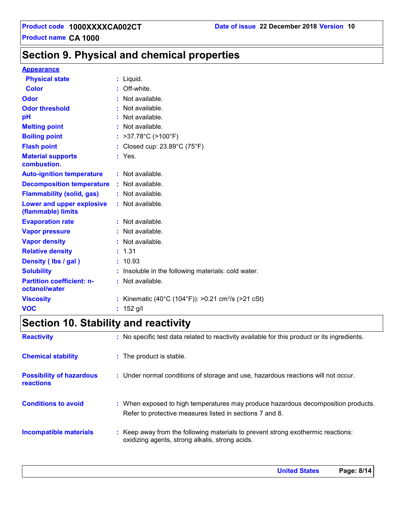### **Section 9. Physical and chemical properties**

#### **Appearance**

| <b>Physical state</b>                             | $:$ Liquid.                                                    |
|---------------------------------------------------|----------------------------------------------------------------|
| <b>Color</b>                                      | $:$ Off-white                                                  |
| <b>Odor</b>                                       | : Not available.                                               |
| <b>Odor threshold</b>                             | Not available.                                                 |
| pH                                                | : Not available.                                               |
| <b>Melting point</b>                              | : Not available.                                               |
| <b>Boiling point</b>                              | : $>37.78^{\circ}C$ ( $>100^{\circ}F$ )                        |
| <b>Flash point</b>                                | : Closed cup: $23.89^{\circ}$ C (75 $^{\circ}$ F)              |
| <b>Material supports</b><br>combustion.           | $:$ Yes.                                                       |
| <b>Auto-ignition temperature</b>                  | : Not available.                                               |
| <b>Decomposition temperature</b>                  | : Not available.                                               |
| <b>Flammability (solid, gas)</b>                  | : Not available.                                               |
| Lower and upper explosive<br>(flammable) limits   | : Not available.                                               |
| <b>Evaporation rate</b>                           | : Not available.                                               |
| <b>Vapor pressure</b>                             | : Not available.                                               |
| <b>Vapor density</b>                              | : Not available.                                               |
| <b>Relative density</b>                           | : 1.31                                                         |
| Density (Ibs / gal)                               | : 10.93                                                        |
| <b>Solubility</b>                                 | Insoluble in the following materials: cold water.              |
| <b>Partition coefficient: n-</b><br>octanol/water | : Not available.                                               |
| <b>Viscosity</b>                                  | : Kinematic (40°C (104°F)): >0.21 cm <sup>2</sup> /s (>21 cSt) |
| <b>VOC</b>                                        | : 152 g/l                                                      |

### **Section 10. Stability and reactivity**

| <b>Reactivity</b>                                   | : No specific test data related to reactivity available for this product or its ingredients.                                                  |
|-----------------------------------------------------|-----------------------------------------------------------------------------------------------------------------------------------------------|
| <b>Chemical stability</b>                           | : The product is stable.                                                                                                                      |
| <b>Possibility of hazardous</b><br><b>reactions</b> | : Under normal conditions of storage and use, hazardous reactions will not occur.                                                             |
| <b>Conditions to avoid</b>                          | : When exposed to high temperatures may produce hazardous decomposition products.<br>Refer to protective measures listed in sections 7 and 8. |
| <b>Incompatible materials</b>                       | : Keep away from the following materials to prevent strong exothermic reactions:<br>oxidizing agents, strong alkalis, strong acids.           |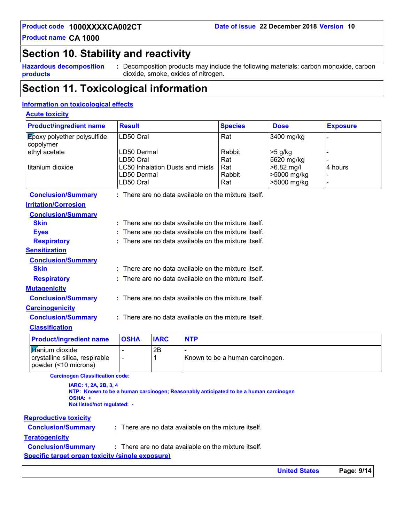### **Section 10. Stability and reactivity**

**Hazardous decomposition products**

**:** Decomposition products may include the following materials: carbon monoxide, carbon dioxide, smoke, oxides of nitrogen.

### **Section 11. Toxicological information**

#### **Information on toxicological effects**

#### **Acute toxicity**

| <b>Product/ingredient name</b>                  | <b>Result</b>                          |             |            | <b>Species</b>                                         | <b>Dose</b>  | <b>Exposure</b> |
|-------------------------------------------------|----------------------------------------|-------------|------------|--------------------------------------------------------|--------------|-----------------|
| <b>Epoxy polyether polysulfide</b><br>copolymer | LD50 Oral                              |             |            | Rat                                                    | 3400 mg/kg   |                 |
| ethyl acetate                                   | LD50 Dermal                            |             |            | Rabbit                                                 | $>5$ g/kg    |                 |
|                                                 | LD50 Oral                              |             |            | Rat                                                    | 5620 mg/kg   |                 |
| l titanium dioxide                              | <b>LC50 Inhalation Dusts and mists</b> |             |            | Rat                                                    | $>6.82$ mg/l | 4 hours         |
|                                                 | LD50 Dermal                            |             |            | Rabbit                                                 | >5000 mg/kg  |                 |
|                                                 | LD50 Oral                              |             |            | Rat                                                    | >5000 mg/kg  |                 |
| <b>Conclusion/Summary</b>                       |                                        |             |            | $:$ There are no data available on the mixture itself. |              |                 |
| <b>Irritation/Corrosion</b>                     |                                        |             |            |                                                        |              |                 |
| <b>Conclusion/Summary</b>                       |                                        |             |            |                                                        |              |                 |
| <b>Skin</b>                                     |                                        |             |            | $:$ There are no data available on the mixture itself. |              |                 |
| <b>Eyes</b>                                     |                                        |             |            | There are no data available on the mixture itself.     |              |                 |
| <b>Respiratory</b>                              |                                        |             |            | $:$ There are no data available on the mixture itself. |              |                 |
| <b>Sensitization</b>                            |                                        |             |            |                                                        |              |                 |
| <b>Conclusion/Summary</b>                       |                                        |             |            |                                                        |              |                 |
| <b>Skin</b>                                     |                                        |             |            | $:$ There are no data available on the mixture itself. |              |                 |
| <b>Respiratory</b>                              |                                        |             |            | $:$ There are no data available on the mixture itself. |              |                 |
| <b>Mutagenicity</b>                             |                                        |             |            |                                                        |              |                 |
| <b>Conclusion/Summary</b>                       |                                        |             |            | : There are no data available on the mixture itself.   |              |                 |
| <b>Carcinogenicity</b>                          |                                        |             |            |                                                        |              |                 |
| <b>Conclusion/Summary</b>                       |                                        |             |            | : There are no data available on the mixture itself.   |              |                 |
| <b>Classification</b>                           |                                        |             |            |                                                        |              |                 |
| <b>Product/ingredient name</b>                  | <b>OSHA</b>                            | <b>IARC</b> | <b>NTP</b> |                                                        |              |                 |

| <b>Product/ingredient name</b>                                                    | <b>OSHA</b> | <b>IARC</b> | <b>NTP</b>                      |
|-----------------------------------------------------------------------------------|-------------|-------------|---------------------------------|
| <b>titanium</b> dioxide<br>crystalline silica, respirable<br>oowder (<10 microns) |             | 2Β          | Known to be a human carcinogen. |

**Carcinogen Classification code:**

**IARC: 1, 2A, 2B, 3, 4 NTP: Known to be a human carcinogen; Reasonably anticipated to be a human carcinogen OSHA: + Not listed/not regulated: -**

#### **Reproductive toxicity**

**Conclusion/Summary :**

There are no data available on the mixture itself.

#### **Teratogenicity**

**Conclusion/Summary :** There are no data available on the mixture itself.

**Specific target organ toxicity (single exposure)**

**United States Page: 9/14**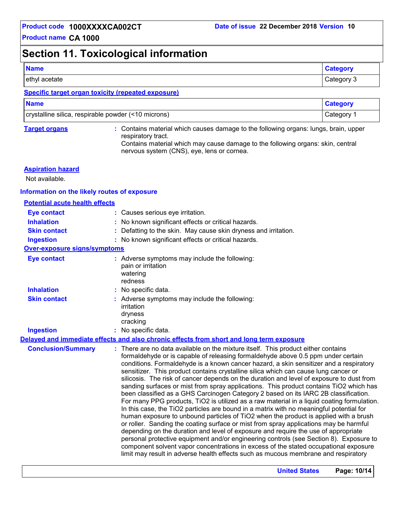### **Section 11. Toxicological information**

| <b>Name</b>                                                                                                                                                                                                                    | <b>Category</b> |
|--------------------------------------------------------------------------------------------------------------------------------------------------------------------------------------------------------------------------------|-----------------|
| ethyl acetate                                                                                                                                                                                                                  | Category 3      |
| Consideration of compact the distribution of the second company of the second second second second second second second second second second second second second second second second second second second second second seco |                 |

#### **Specific target organ toxicity (repeated exposure)**

| <b>Name</b>                                         | <b>Category</b> |
|-----------------------------------------------------|-----------------|
| crystalline silica, respirable powder (<10 microns) | Category        |

**Target organs :** Contains material which causes damage to the following organs: lungs, brain, upper respiratory tract. Contains material which may cause damage to the following organs: skin, central nervous system (CNS), eye, lens or cornea.

limit may result in adverse health effects such as mucous membrane and respiratory

#### **Aspiration hazard**

Not available.

#### **Information on the likely routes of exposure**

| <b>Potential acute health effects</b> |                                                                                                                                                                                                                                                                                                                                                                                                                                                                                                                                                                                                                                                                                                                                                                                                                                                                                                                                                                                                                                                                                                                                                                                                                                                                                       |
|---------------------------------------|---------------------------------------------------------------------------------------------------------------------------------------------------------------------------------------------------------------------------------------------------------------------------------------------------------------------------------------------------------------------------------------------------------------------------------------------------------------------------------------------------------------------------------------------------------------------------------------------------------------------------------------------------------------------------------------------------------------------------------------------------------------------------------------------------------------------------------------------------------------------------------------------------------------------------------------------------------------------------------------------------------------------------------------------------------------------------------------------------------------------------------------------------------------------------------------------------------------------------------------------------------------------------------------|
| <b>Eye contact</b>                    | : Causes serious eye irritation.                                                                                                                                                                                                                                                                                                                                                                                                                                                                                                                                                                                                                                                                                                                                                                                                                                                                                                                                                                                                                                                                                                                                                                                                                                                      |
| <b>Inhalation</b>                     | : No known significant effects or critical hazards.                                                                                                                                                                                                                                                                                                                                                                                                                                                                                                                                                                                                                                                                                                                                                                                                                                                                                                                                                                                                                                                                                                                                                                                                                                   |
| <b>Skin contact</b>                   | : Defatting to the skin. May cause skin dryness and irritation.                                                                                                                                                                                                                                                                                                                                                                                                                                                                                                                                                                                                                                                                                                                                                                                                                                                                                                                                                                                                                                                                                                                                                                                                                       |
| <b>Ingestion</b>                      | : No known significant effects or critical hazards.                                                                                                                                                                                                                                                                                                                                                                                                                                                                                                                                                                                                                                                                                                                                                                                                                                                                                                                                                                                                                                                                                                                                                                                                                                   |
| <b>Over-exposure signs/symptoms</b>   |                                                                                                                                                                                                                                                                                                                                                                                                                                                                                                                                                                                                                                                                                                                                                                                                                                                                                                                                                                                                                                                                                                                                                                                                                                                                                       |
| <b>Eye contact</b>                    | : Adverse symptoms may include the following:<br>pain or irritation<br>watering<br>redness                                                                                                                                                                                                                                                                                                                                                                                                                                                                                                                                                                                                                                                                                                                                                                                                                                                                                                                                                                                                                                                                                                                                                                                            |
| <b>Inhalation</b>                     | : No specific data.                                                                                                                                                                                                                                                                                                                                                                                                                                                                                                                                                                                                                                                                                                                                                                                                                                                                                                                                                                                                                                                                                                                                                                                                                                                                   |
| <b>Skin contact</b>                   | : Adverse symptoms may include the following:<br>irritation<br>dryness<br>cracking                                                                                                                                                                                                                                                                                                                                                                                                                                                                                                                                                                                                                                                                                                                                                                                                                                                                                                                                                                                                                                                                                                                                                                                                    |
| <b>Ingestion</b>                      | : No specific data.                                                                                                                                                                                                                                                                                                                                                                                                                                                                                                                                                                                                                                                                                                                                                                                                                                                                                                                                                                                                                                                                                                                                                                                                                                                                   |
|                                       | Delayed and immediate effects and also chronic effects from short and long term exposure                                                                                                                                                                                                                                                                                                                                                                                                                                                                                                                                                                                                                                                                                                                                                                                                                                                                                                                                                                                                                                                                                                                                                                                              |
| <b>Conclusion/Summary</b>             | : There are no data available on the mixture itself. This product either contains<br>formaldehyde or is capable of releasing formaldehyde above 0.5 ppm under certain<br>conditions. Formaldehyde is a known cancer hazard, a skin sensitizer and a respiratory<br>sensitizer. This product contains crystalline silica which can cause lung cancer or<br>silicosis. The risk of cancer depends on the duration and level of exposure to dust from<br>sanding surfaces or mist from spray applications. This product contains TiO2 which has<br>been classified as a GHS Carcinogen Category 2 based on its IARC 2B classification.<br>For many PPG products, TiO2 is utilized as a raw material in a liquid coating formulation.<br>In this case, the TiO2 particles are bound in a matrix with no meaningful potential for<br>human exposure to unbound particles of TiO2 when the product is applied with a brush<br>or roller. Sanding the coating surface or mist from spray applications may be harmful<br>depending on the duration and level of exposure and require the use of appropriate<br>personal protective equipment and/or engineering controls (see Section 8). Exposure to<br>component solvent vapor concentrations in excess of the stated occupational exposure |

**United States Page: 10/14**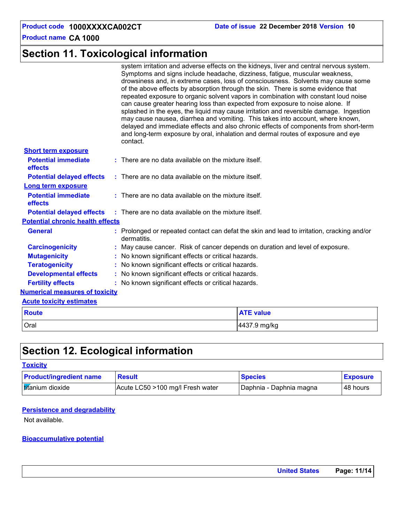### **Section 11. Toxicological information**

|                                         | system irritation and adverse effects on the kidneys, liver and central nervous system.<br>Symptoms and signs include headache, dizziness, fatigue, muscular weakness,<br>drowsiness and, in extreme cases, loss of consciousness. Solvents may cause some<br>of the above effects by absorption through the skin. There is some evidence that<br>repeated exposure to organic solvent vapors in combination with constant loud noise<br>can cause greater hearing loss than expected from exposure to noise alone. If<br>splashed in the eyes, the liquid may cause irritation and reversible damage. Ingestion<br>may cause nausea, diarrhea and vomiting. This takes into account, where known,<br>delayed and immediate effects and also chronic effects of components from short-term<br>and long-term exposure by oral, inhalation and dermal routes of exposure and eye<br>contact. |  |  |
|-----------------------------------------|--------------------------------------------------------------------------------------------------------------------------------------------------------------------------------------------------------------------------------------------------------------------------------------------------------------------------------------------------------------------------------------------------------------------------------------------------------------------------------------------------------------------------------------------------------------------------------------------------------------------------------------------------------------------------------------------------------------------------------------------------------------------------------------------------------------------------------------------------------------------------------------------|--|--|
| <b>Short term exposure</b>              |                                                                                                                                                                                                                                                                                                                                                                                                                                                                                                                                                                                                                                                                                                                                                                                                                                                                                            |  |  |
| <b>Potential immediate</b><br>effects   | : There are no data available on the mixture itself.                                                                                                                                                                                                                                                                                                                                                                                                                                                                                                                                                                                                                                                                                                                                                                                                                                       |  |  |
| <b>Potential delayed effects</b>        | : There are no data available on the mixture itself.                                                                                                                                                                                                                                                                                                                                                                                                                                                                                                                                                                                                                                                                                                                                                                                                                                       |  |  |
| Long term exposure                      |                                                                                                                                                                                                                                                                                                                                                                                                                                                                                                                                                                                                                                                                                                                                                                                                                                                                                            |  |  |
| <b>Potential immediate</b><br>effects   | : There are no data available on the mixture itself.                                                                                                                                                                                                                                                                                                                                                                                                                                                                                                                                                                                                                                                                                                                                                                                                                                       |  |  |
| <b>Potential delayed effects</b>        | $:$ There are no data available on the mixture itself.                                                                                                                                                                                                                                                                                                                                                                                                                                                                                                                                                                                                                                                                                                                                                                                                                                     |  |  |
| <b>Potential chronic health effects</b> |                                                                                                                                                                                                                                                                                                                                                                                                                                                                                                                                                                                                                                                                                                                                                                                                                                                                                            |  |  |
| <b>General</b>                          | : Prolonged or repeated contact can defat the skin and lead to irritation, cracking and/or<br>dermatitis.                                                                                                                                                                                                                                                                                                                                                                                                                                                                                                                                                                                                                                                                                                                                                                                  |  |  |
| <b>Carcinogenicity</b>                  | : May cause cancer. Risk of cancer depends on duration and level of exposure.                                                                                                                                                                                                                                                                                                                                                                                                                                                                                                                                                                                                                                                                                                                                                                                                              |  |  |
| <b>Mutagenicity</b>                     | : No known significant effects or critical hazards.                                                                                                                                                                                                                                                                                                                                                                                                                                                                                                                                                                                                                                                                                                                                                                                                                                        |  |  |
| <b>Teratogenicity</b>                   | : No known significant effects or critical hazards.                                                                                                                                                                                                                                                                                                                                                                                                                                                                                                                                                                                                                                                                                                                                                                                                                                        |  |  |
| <b>Developmental effects</b>            | : No known significant effects or critical hazards.                                                                                                                                                                                                                                                                                                                                                                                                                                                                                                                                                                                                                                                                                                                                                                                                                                        |  |  |
| <b>Fertility effects</b>                | : No known significant effects or critical hazards.                                                                                                                                                                                                                                                                                                                                                                                                                                                                                                                                                                                                                                                                                                                                                                                                                                        |  |  |
| <b>Numerical measures of toxicity</b>   |                                                                                                                                                                                                                                                                                                                                                                                                                                                                                                                                                                                                                                                                                                                                                                                                                                                                                            |  |  |
| <b>Acute toxicity estimates</b>         |                                                                                                                                                                                                                                                                                                                                                                                                                                                                                                                                                                                                                                                                                                                                                                                                                                                                                            |  |  |
| <b>Route</b>                            | <b>ATE value</b>                                                                                                                                                                                                                                                                                                                                                                                                                                                                                                                                                                                                                                                                                                                                                                                                                                                                           |  |  |
| Oral                                    | 4437.9 mg/kg                                                                                                                                                                                                                                                                                                                                                                                                                                                                                                                                                                                                                                                                                                                                                                                                                                                                               |  |  |

### **Section 12. Ecological information**

#### **Toxicity**

| <b>Product/ingredient name</b> | <b>Result</b>                    | <b>Species</b>            | <b>Exposure</b> |
|--------------------------------|----------------------------------|---------------------------|-----------------|
| <b>Itifanium</b> dioxide       | Acute LC50 >100 mg/l Fresh water | I Daphnia - Daphnia magna | 148 hours       |

#### **Persistence and degradability**

Not available.

#### **Bioaccumulative potential**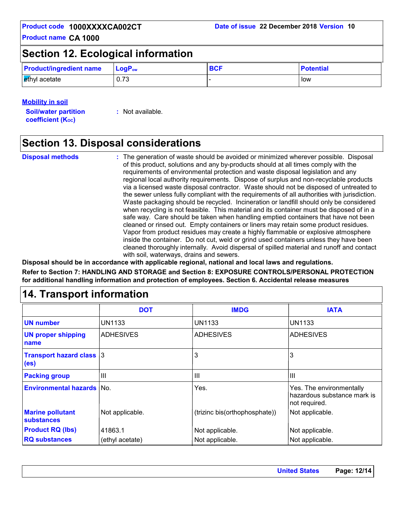### **Section 12. Ecological information**

| <b>Product/ingredient name</b> | $\mathsf{LoaP}_\mathsf{ow}$ | <b>BCF</b> | <b>Potential</b> |
|--------------------------------|-----------------------------|------------|------------------|
| ethyl acetate                  | 0.73                        |            | low              |

#### **Mobility in soil**

**Soil/water partition coefficient (K**<sub>oc</sub>)

**:** Not available.

### **Section 13. Disposal considerations**

**Disposal methods :**

The generation of waste should be avoided or minimized wherever possible. Disposal of this product, solutions and any by-products should at all times comply with the requirements of environmental protection and waste disposal legislation and any regional local authority requirements. Dispose of surplus and non-recyclable products via a licensed waste disposal contractor. Waste should not be disposed of untreated to the sewer unless fully compliant with the requirements of all authorities with jurisdiction. Waste packaging should be recycled. Incineration or landfill should only be considered when recycling is not feasible. This material and its container must be disposed of in a safe way. Care should be taken when handling emptied containers that have not been cleaned or rinsed out. Empty containers or liners may retain some product residues. Vapor from product residues may create a highly flammable or explosive atmosphere inside the container. Do not cut, weld or grind used containers unless they have been cleaned thoroughly internally. Avoid dispersal of spilled material and runoff and contact with soil, waterways, drains and sewers.

**Disposal should be in accordance with applicable regional, national and local laws and regulations. Refer to Section 7: HANDLING AND STORAGE and Section 8: EXPOSURE CONTROLS/PERSONAL PROTECTION for additional handling information and protection of employees. Section 6. Accidental release measures**

### **14. Transport information**

|                                                      | <b>DOT</b>       | <b>IMDG</b>                   | <b>IATA</b>                                                              |
|------------------------------------------------------|------------------|-------------------------------|--------------------------------------------------------------------------|
| <b>UN number</b>                                     | UN1133           | <b>UN1133</b>                 | <b>UN1133</b>                                                            |
| <b>UN proper shipping</b><br>name                    | <b>ADHESIVES</b> | <b>ADHESIVES</b>              | IADHESIVES                                                               |
| <b>Transport hazard class 3</b><br>(e <sub>s</sub> ) |                  | 3                             | 3                                                                        |
| <b>Packing group</b>                                 | Ш                | $\mathbf{III}$                | III                                                                      |
| <b>Environmental hazards No.</b>                     |                  | Yes.                          | Yes. The environmentally<br>hazardous substance mark is<br>not required. |
| <b>Marine pollutant</b><br><b>substances</b>         | Not applicable.  | (trizinc bis(orthophosphate)) | Not applicable.                                                          |
| <b>Product RQ (lbs)</b>                              | 41863.1          | Not applicable.               | Not applicable.                                                          |
| <b>RQ substances</b>                                 | (ethyl acetate)  | Not applicable.               | Not applicable.                                                          |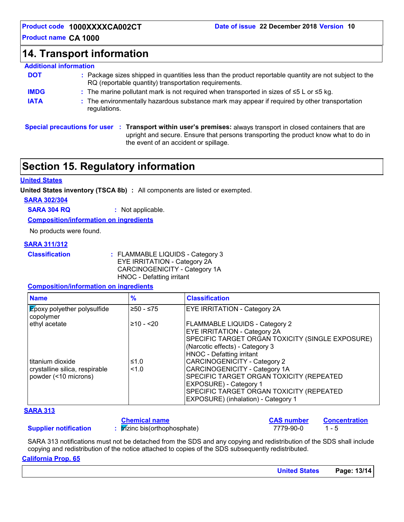### **14. Transport information**

### **Additional information**

| <b>DOT</b>  | : Package sizes shipped in quantities less than the product reportable quantity are not subject to the<br>RQ (reportable quantity) transportation requirements. |
|-------------|-----------------------------------------------------------------------------------------------------------------------------------------------------------------|
| <b>IMDG</b> | : The marine pollutant mark is not required when transported in sizes of $\leq 5$ L or $\leq 5$ kg.                                                             |
| <b>IATA</b> | : The environmentally hazardous substance mark may appear if required by other transportation<br>regulations.                                                   |

**Special precautions for user Transport within user's premises:** always transport in closed containers that are **:** upright and secure. Ensure that persons transporting the product know what to do in the event of an accident or spillage.

### **Section 15. Regulatory information**

#### **United States**

**United States inventory (TSCA 8b) :** All components are listed or exempted.

**SARA 302/304**

**SARA 304 RQ :** Not applicable.

**Composition/information on ingredients**

No products were found.

#### **SARA 311/312**

| <b>Classification</b> |  |  |  |
|-----------------------|--|--|--|
|                       |  |  |  |

**Classification :** FLAMMABLE LIQUIDS - Category 3 EYE IRRITATION - Category 2A CARCINOGENICITY - Category 1A HNOC - Defatting irritant

#### **Composition/information on ingredients**

| <b>Name</b>                                                                  | $\frac{9}{6}$ | <b>Classification</b>                                                                                                                                                                                                         |
|------------------------------------------------------------------------------|---------------|-------------------------------------------------------------------------------------------------------------------------------------------------------------------------------------------------------------------------------|
| <b>Epoxy polyether polysulfide</b><br>copolymer                              | ≥50 - ≤75     | <b>EYE IRRITATION - Category 2A</b>                                                                                                                                                                                           |
| ethyl acetate                                                                | $≥10 - 20$    | <b>FLAMMABLE LIQUIDS - Category 2</b><br><b>EYE IRRITATION - Category 2A</b><br>SPECIFIC TARGET ORGAN TOXICITY (SINGLE EXPOSURE)<br>(Narcotic effects) - Category 3<br><b>HNOC</b> - Defatting irritant                       |
| l titanium dioxide<br>crystalline silica, respirable<br>powder (<10 microns) | ≤1.0<br>1.0   | <b>CARCINOGENICITY - Category 2</b><br>CARCINOGENICITY - Category 1A<br>SPECIFIC TARGET ORGAN TOXICITY (REPEATED<br>EXPOSURE) - Category 1<br>SPECIFIC TARGET ORGAN TOXICITY (REPEATED<br>EXPOSURE) (inhalation) - Category 1 |

#### **SARA 313**

#### **Supplier notification**

### **Chemical name**

**:** trizinc bis(orthophosphate) 7779-90-0 1 - 5 **CAS number Concentration**

SARA 313 notifications must not be detached from the SDS and any copying and redistribution of the SDS shall include copying and redistribution of the notice attached to copies of the SDS subsequently redistributed.

#### **California Prop. 65**

| <b>United States</b> | Page: 13/14 |
|----------------------|-------------|
|                      |             |